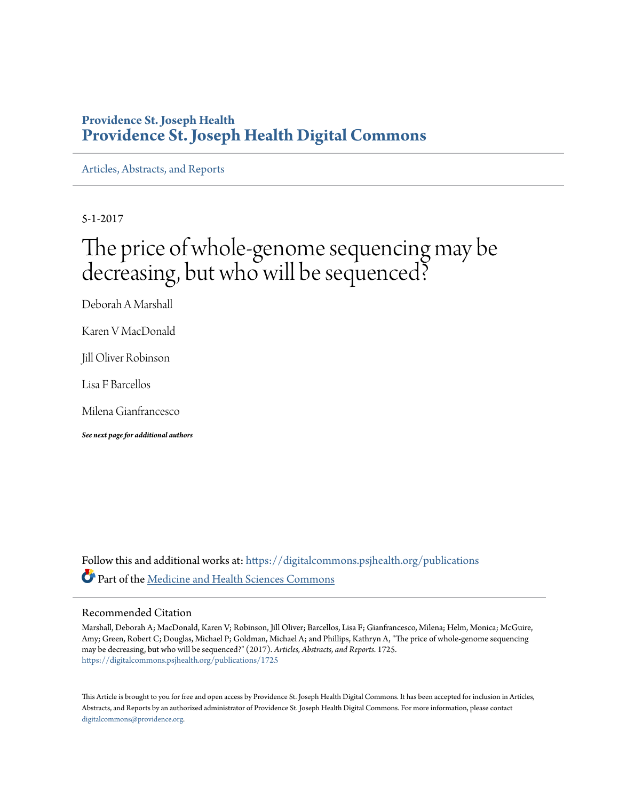# **Providence St. Joseph Health [Providence St. Joseph Health Digital Commons](https://digitalcommons.psjhealth.org?utm_source=digitalcommons.psjhealth.org%2Fpublications%2F1725&utm_medium=PDF&utm_campaign=PDFCoverPages)**

[Articles, Abstracts, and Reports](https://digitalcommons.psjhealth.org/publications?utm_source=digitalcommons.psjhealth.org%2Fpublications%2F1725&utm_medium=PDF&utm_campaign=PDFCoverPages)

5-1-2017

# The price of whole-genome sequencing may be decreasing, but who will be sequenced?

Deborah A Marshall

Karen V MacDonald

Jill Oliver Robinson

Lisa F Barcellos

Milena Gianfrancesco

*See next page for additional authors*

Follow this and additional works at: [https://digitalcommons.psjhealth.org/publications](https://digitalcommons.psjhealth.org/publications?utm_source=digitalcommons.psjhealth.org%2Fpublications%2F1725&utm_medium=PDF&utm_campaign=PDFCoverPages) Part of the [Medicine and Health Sciences Commons](http://network.bepress.com/hgg/discipline/648?utm_source=digitalcommons.psjhealth.org%2Fpublications%2F1725&utm_medium=PDF&utm_campaign=PDFCoverPages)

# Recommended Citation

Marshall, Deborah A; MacDonald, Karen V; Robinson, Jill Oliver; Barcellos, Lisa F; Gianfrancesco, Milena; Helm, Monica; McGuire, Amy; Green, Robert C; Douglas, Michael P; Goldman, Michael A; and Phillips, Kathryn A, "The price of whole-genome sequencing may be decreasing, but who will be sequenced?" (2017). *Articles, Abstracts, and Reports*. 1725. [https://digitalcommons.psjhealth.org/publications/1725](https://digitalcommons.psjhealth.org/publications/1725?utm_source=digitalcommons.psjhealth.org%2Fpublications%2F1725&utm_medium=PDF&utm_campaign=PDFCoverPages)

This Article is brought to you for free and open access by Providence St. Joseph Health Digital Commons. It has been accepted for inclusion in Articles, Abstracts, and Reports by an authorized administrator of Providence St. Joseph Health Digital Commons. For more information, please contact [digitalcommons@providence.org](mailto:digitalcommons@providence.org).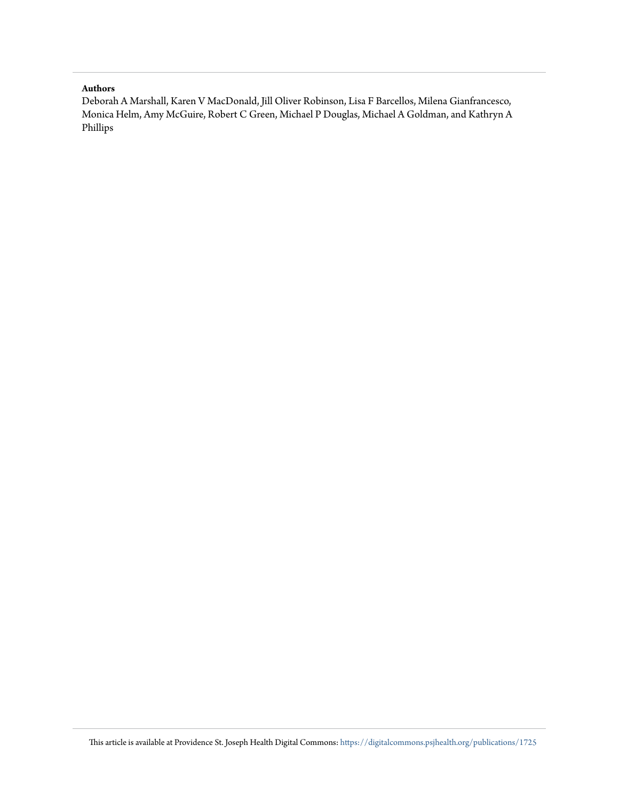#### **Authors**

Deborah A Marshall, Karen V MacDonald, Jill Oliver Robinson, Lisa F Barcellos, Milena Gianfrancesco, Monica Helm, Amy McGuire, Robert C Green, Michael P Douglas, Michael A Goldman, and Kathryn A Phillips

This article is available at Providence St. Joseph Health Digital Commons: [https://digitalcommons.psjhealth.org/publications/1725](https://digitalcommons.psjhealth.org/publications/1725?utm_source=digitalcommons.psjhealth.org%2Fpublications%2F1725&utm_medium=PDF&utm_campaign=PDFCoverPages)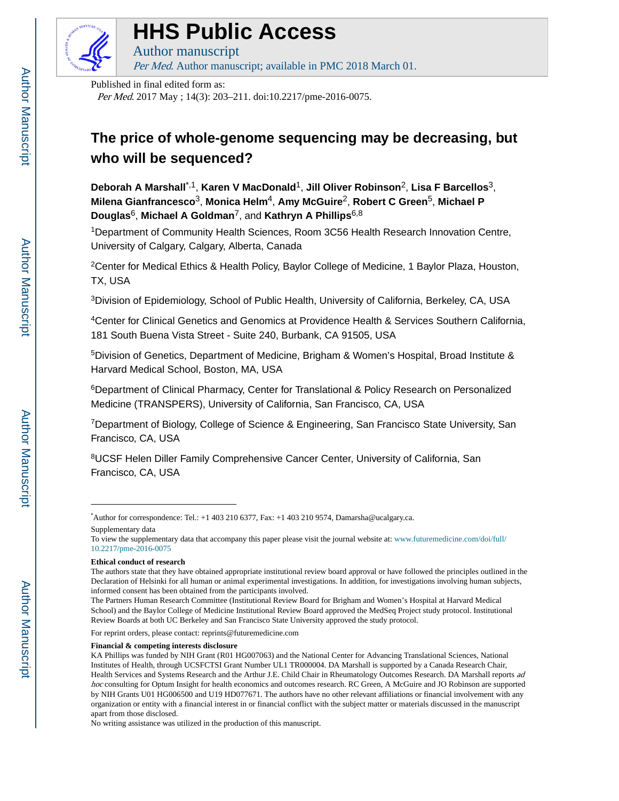

# **HHS Public Access**

Author manuscript Per Med. Author manuscript; available in PMC 2018 March 01.

Published in final edited form as:

Per Med. 2017 May ; 14(3): 203–211. doi:10.2217/pme-2016-0075.

# **The price of whole-genome sequencing may be decreasing, but who will be sequenced?**

**Deborah A Marshall**\*,1, **Karen V MacDonald**1, **Jill Oliver Robinson**2, **Lisa F Barcellos**3, **Milena Gianfrancesco**3, **Monica Helm**4, **Amy McGuire**2, **Robert C Green**5, **Michael P Douglas**6, **Michael A Goldman**7, and **Kathryn A Phillips**6,8

<sup>1</sup>Department of Community Health Sciences, Room 3C56 Health Research Innovation Centre, University of Calgary, Calgary, Alberta, Canada

<sup>2</sup>Center for Medical Ethics & Health Policy, Baylor College of Medicine, 1 Baylor Plaza, Houston, TX, USA

<sup>3</sup>Division of Epidemiology, School of Public Health, University of California, Berkeley, CA, USA

<sup>4</sup>Center for Clinical Genetics and Genomics at Providence Health & Services Southern California, 181 South Buena Vista Street - Suite 240, Burbank, CA 91505, USA

<sup>5</sup>Division of Genetics, Department of Medicine, Brigham & Women's Hospital, Broad Institute & Harvard Medical School, Boston, MA, USA

<sup>6</sup>Department of Clinical Pharmacy, Center for Translational & Policy Research on Personalized Medicine (TRANSPERS), University of California, San Francisco, CA, USA

<sup>7</sup>Department of Biology, College of Science & Engineering, San Francisco State University, San Francisco, CA, USA

<sup>8</sup>UCSF Helen Diller Family Comprehensive Cancer Center, University of California, San Francisco, CA, USA

#### **Ethical conduct of research**

For reprint orders, please contact: reprints@futuremedicine.com

#### **Financial & competing interests disclosure**

<sup>\*</sup>Author for correspondence: Tel.: +1 403 210 6377, Fax: +1 403 210 9574, Damarsha@ucalgary.ca. Supplementary data

To view the supplementary data that accompany this paper please visit the journal website at: www.futuremedicine.com/doi/full/ 10.2217/pme-2016-0075

The authors state that they have obtained appropriate institutional review board approval or have followed the principles outlined in the Declaration of Helsinki for all human or animal experimental investigations. In addition, for investigations involving human subjects, informed consent has been obtained from the participants involved.

The Partners Human Research Committee (Institutional Review Board for Brigham and Women's Hospital at Harvard Medical School) and the Baylor College of Medicine Institutional Review Board approved the MedSeq Project study protocol. Institutional Review Boards at both UC Berkeley and San Francisco State University approved the study protocol.

KA Phillips was funded by NIH Grant (R01 HG007063) and the National Center for Advancing Translational Sciences, National Institutes of Health, through UCSFCTSI Grant Number UL1 TR000004. DA Marshall is supported by a Canada Research Chair, Health Services and Systems Research and the Arthur J.E. Child Chair in Rheumatology Outcomes Research. DA Marshall reports ad hoc consulting for Optum Insight for health economics and outcomes research. RC Green, A McGuire and JO Robinson are supported by NIH Grants U01 HG006500 and U19 HD077671. The authors have no other relevant affiliations or financial involvement with any organization or entity with a financial interest in or financial conflict with the subject matter or materials discussed in the manuscript apart from those disclosed.

No writing assistance was utilized in the production of this manuscript.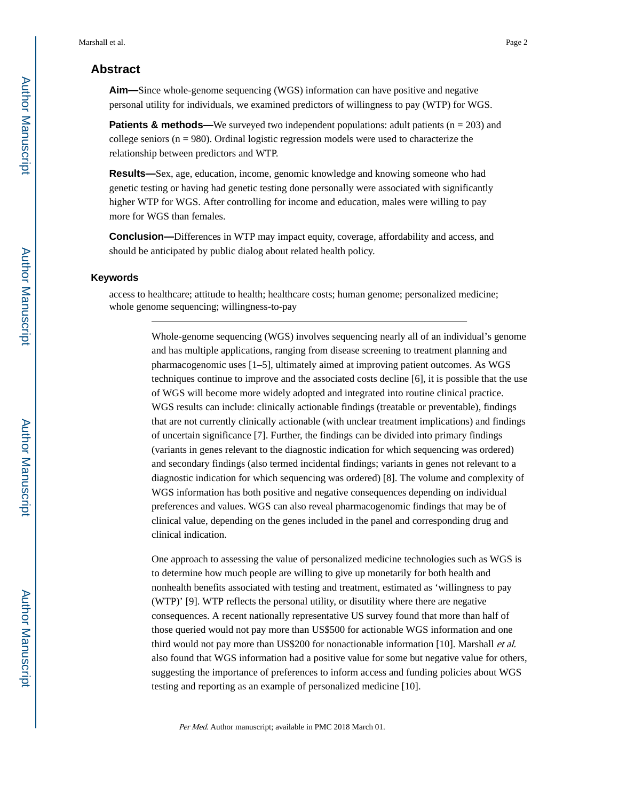# **Abstract**

**Aim—**Since whole-genome sequencing (WGS) information can have positive and negative personal utility for individuals, we examined predictors of willingness to pay (WTP) for WGS.

**Patients & methods—**We surveyed two independent populations: adult patients (n = 203) and college seniors ( $n = 980$ ). Ordinal logistic regression models were used to characterize the relationship between predictors and WTP.

**Results—**Sex, age, education, income, genomic knowledge and knowing someone who had genetic testing or having had genetic testing done personally were associated with significantly higher WTP for WGS. After controlling for income and education, males were willing to pay more for WGS than females.

**Conclusion—**Differences in WTP may impact equity, coverage, affordability and access, and should be anticipated by public dialog about related health policy.

#### **Keywords**

access to healthcare; attitude to health; healthcare costs; human genome; personalized medicine; whole genome sequencing; willingness-to-pay

> Whole-genome sequencing (WGS) involves sequencing nearly all of an individual's genome and has multiple applications, ranging from disease screening to treatment planning and pharmacogenomic uses [1–5], ultimately aimed at improving patient outcomes. As WGS techniques continue to improve and the associated costs decline [6], it is possible that the use of WGS will become more widely adopted and integrated into routine clinical practice. WGS results can include: clinically actionable findings (treatable or preventable), findings that are not currently clinically actionable (with unclear treatment implications) and findings of uncertain significance [7]. Further, the findings can be divided into primary findings (variants in genes relevant to the diagnostic indication for which sequencing was ordered) and secondary findings (also termed incidental findings; variants in genes not relevant to a diagnostic indication for which sequencing was ordered) [8]. The volume and complexity of WGS information has both positive and negative consequences depending on individual preferences and values. WGS can also reveal pharmacogenomic findings that may be of clinical value, depending on the genes included in the panel and corresponding drug and clinical indication.

> One approach to assessing the value of personalized medicine technologies such as WGS is to determine how much people are willing to give up monetarily for both health and nonhealth benefits associated with testing and treatment, estimated as 'willingness to pay (WTP)' [9]. WTP reflects the personal utility, or disutility where there are negative consequences. A recent nationally representative US survey found that more than half of those queried would not pay more than US\$500 for actionable WGS information and one third would not pay more than US\$200 for nonactionable information [10]. Marshall et al. also found that WGS information had a positive value for some but negative value for others, suggesting the importance of preferences to inform access and funding policies about WGS testing and reporting as an example of personalized medicine [10].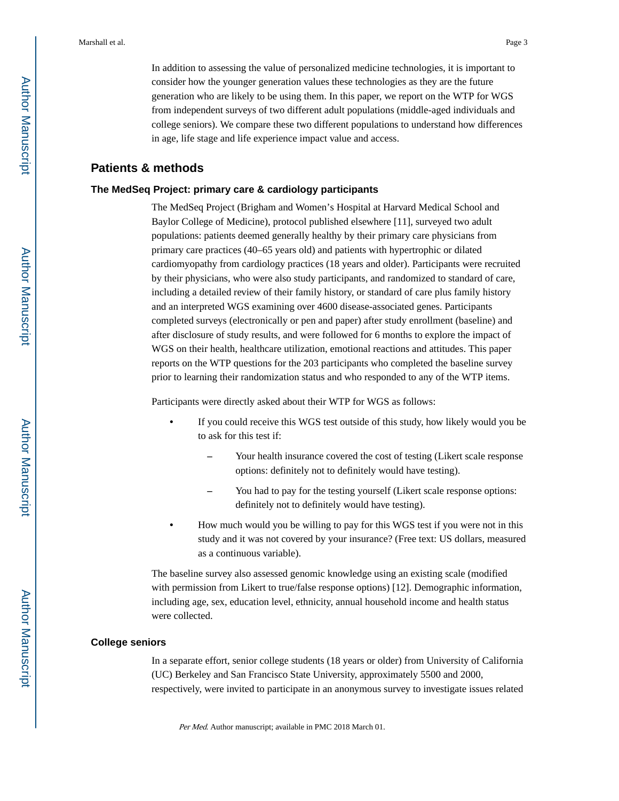In addition to assessing the value of personalized medicine technologies, it is important to consider how the younger generation values these technologies as they are the future generation who are likely to be using them. In this paper, we report on the WTP for WGS from independent surveys of two different adult populations (middle-aged individuals and college seniors). We compare these two different populations to understand how differences in age, life stage and life experience impact value and access.

# **Patients & methods**

#### **The MedSeq Project: primary care & cardiology participants**

The MedSeq Project (Brigham and Women's Hospital at Harvard Medical School and Baylor College of Medicine), protocol published elsewhere [11], surveyed two adult populations: patients deemed generally healthy by their primary care physicians from primary care practices (40–65 years old) and patients with hypertrophic or dilated cardiomyopathy from cardiology practices (18 years and older). Participants were recruited by their physicians, who were also study participants, and randomized to standard of care, including a detailed review of their family history, or standard of care plus family history and an interpreted WGS examining over 4600 disease-associated genes. Participants completed surveys (electronically or pen and paper) after study enrollment (baseline) and after disclosure of study results, and were followed for 6 months to explore the impact of WGS on their health, healthcare utilization, emotional reactions and attitudes. This paper reports on the WTP questions for the 203 participants who completed the baseline survey prior to learning their randomization status and who responded to any of the WTP items.

Participants were directly asked about their WTP for WGS as follows:

- **•** If you could receive this WGS test outside of this study, how likely would you be to ask for this test if:
	- **–** Your health insurance covered the cost of testing (Likert scale response options: definitely not to definitely would have testing).
	- **–** You had to pay for the testing yourself (Likert scale response options: definitely not to definitely would have testing).
- **•** How much would you be willing to pay for this WGS test if you were not in this study and it was not covered by your insurance? (Free text: US dollars, measured as a continuous variable).

The baseline survey also assessed genomic knowledge using an existing scale (modified with permission from Likert to true/false response options) [12]. Demographic information, including age, sex, education level, ethnicity, annual household income and health status were collected.

#### **College seniors**

In a separate effort, senior college students (18 years or older) from University of California (UC) Berkeley and San Francisco State University, approximately 5500 and 2000, respectively, were invited to participate in an anonymous survey to investigate issues related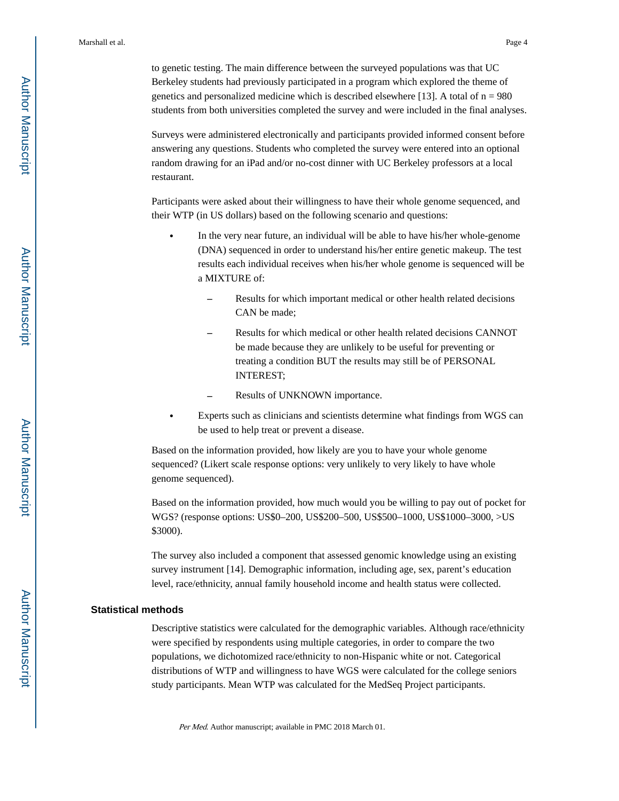to genetic testing. The main difference between the surveyed populations was that UC Berkeley students had previously participated in a program which explored the theme of genetics and personalized medicine which is described elsewhere [13]. A total of  $n = 980$ students from both universities completed the survey and were included in the final analyses.

Surveys were administered electronically and participants provided informed consent before answering any questions. Students who completed the survey were entered into an optional random drawing for an iPad and/or no-cost dinner with UC Berkeley professors at a local restaurant.

Participants were asked about their willingness to have their whole genome sequenced, and their WTP (in US dollars) based on the following scenario and questions:

- **•** In the very near future, an individual will be able to have his/her whole-genome (DNA) sequenced in order to understand his/her entire genetic makeup. The test results each individual receives when his/her whole genome is sequenced will be a MIXTURE of:
	- **–** Results for which important medical or other health related decisions CAN be made;
	- **–** Results for which medical or other health related decisions CANNOT be made because they are unlikely to be useful for preventing or treating a condition BUT the results may still be of PERSONAL INTEREST;
	- **–** Results of UNKNOWN importance.
- **•** Experts such as clinicians and scientists determine what findings from WGS can be used to help treat or prevent a disease.

Based on the information provided, how likely are you to have your whole genome sequenced? (Likert scale response options: very unlikely to very likely to have whole genome sequenced).

Based on the information provided, how much would you be willing to pay out of pocket for WGS? (response options: US\$0–200, US\$200–500, US\$500–1000, US\$1000–3000, >US \$3000).

The survey also included a component that assessed genomic knowledge using an existing survey instrument [14]. Demographic information, including age, sex, parent's education level, race/ethnicity, annual family household income and health status were collected.

#### **Statistical methods**

Descriptive statistics were calculated for the demographic variables. Although race/ethnicity were specified by respondents using multiple categories, in order to compare the two populations, we dichotomized race/ethnicity to non-Hispanic white or not. Categorical distributions of WTP and willingness to have WGS were calculated for the college seniors study participants. Mean WTP was calculated for the MedSeq Project participants.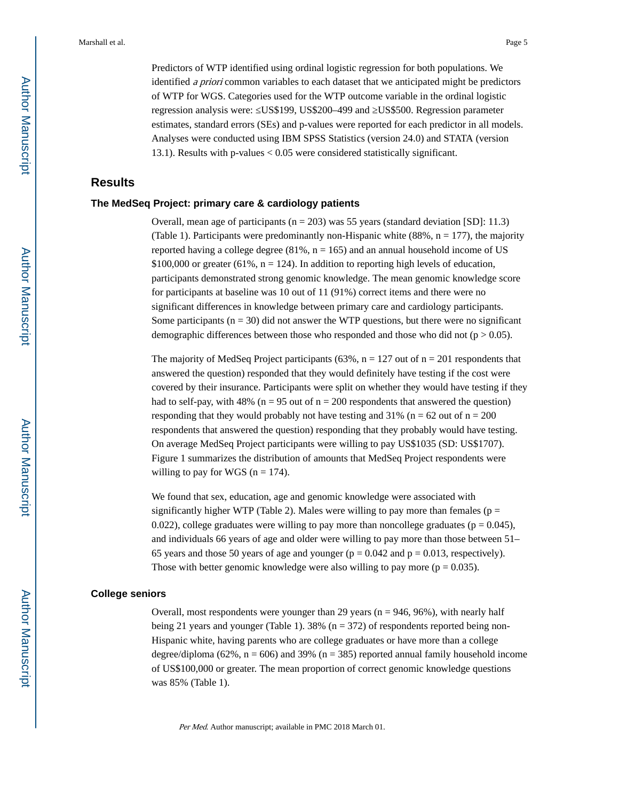Predictors of WTP identified using ordinal logistic regression for both populations. We identified a priori common variables to each dataset that we anticipated might be predictors of WTP for WGS. Categories used for the WTP outcome variable in the ordinal logistic regression analysis were: US\$199, US\$200-499 and US\$500. Regression parameter estimates, standard errors (SEs) and p-values were reported for each predictor in all models. Analyses were conducted using IBM SPSS Statistics (version 24.0) and STATA (version 13.1). Results with p-values < 0.05 were considered statistically significant.

## **Results**

#### **The MedSeq Project: primary care & cardiology patients**

Overall, mean age of participants ( $n = 203$ ) was 55 years (standard deviation [SD]: 11.3) (Table 1). Participants were predominantly non-Hispanic white  $(88\%, n = 177)$ , the majority reported having a college degree  $(81\%, n = 165)$  and an annual household income of US \$100,000 or greater (61%,  $n = 124$ ). In addition to reporting high levels of education, participants demonstrated strong genomic knowledge. The mean genomic knowledge score for participants at baseline was 10 out of 11 (91%) correct items and there were no significant differences in knowledge between primary care and cardiology participants. Some participants  $(n = 30)$  did not answer the WTP questions, but there were no significant demographic differences between those who responded and those who did not  $(p > 0.05)$ .

The majority of MedSeq Project participants (63%,  $n = 127$  out of  $n = 201$  respondents that answered the question) responded that they would definitely have testing if the cost were covered by their insurance. Participants were split on whether they would have testing if they had to self-pay, with 48% ( $n = 95$  out of  $n = 200$  respondents that answered the question) responding that they would probably not have testing and 31% ( $n = 62$  out of  $n = 200$ ) respondents that answered the question) responding that they probably would have testing. On average MedSeq Project participants were willing to pay US\$1035 (SD: US\$1707). Figure 1 summarizes the distribution of amounts that MedSeq Project respondents were willing to pay for WGS ( $n = 174$ ).

We found that sex, education, age and genomic knowledge were associated with significantly higher WTP (Table 2). Males were willing to pay more than females ( $p =$ 0.022), college graduates were willing to pay more than noncollege graduates ( $p = 0.045$ ), and individuals 66 years of age and older were willing to pay more than those between 51– 65 years and those 50 years of age and younger ( $p = 0.042$  and  $p = 0.013$ , respectively). Those with better genomic knowledge were also willing to pay more ( $p = 0.035$ ).

## **College seniors**

Overall, most respondents were younger than 29 years ( $n = 946, 96\%$ ), with nearly half being 21 years and younger (Table 1). 38% ( $n = 372$ ) of respondents reported being non-Hispanic white, having parents who are college graduates or have more than a college degree/diploma (62%,  $n = 606$ ) and 39% ( $n = 385$ ) reported annual family household income of US\$100,000 or greater. The mean proportion of correct genomic knowledge questions was 85% (Table 1).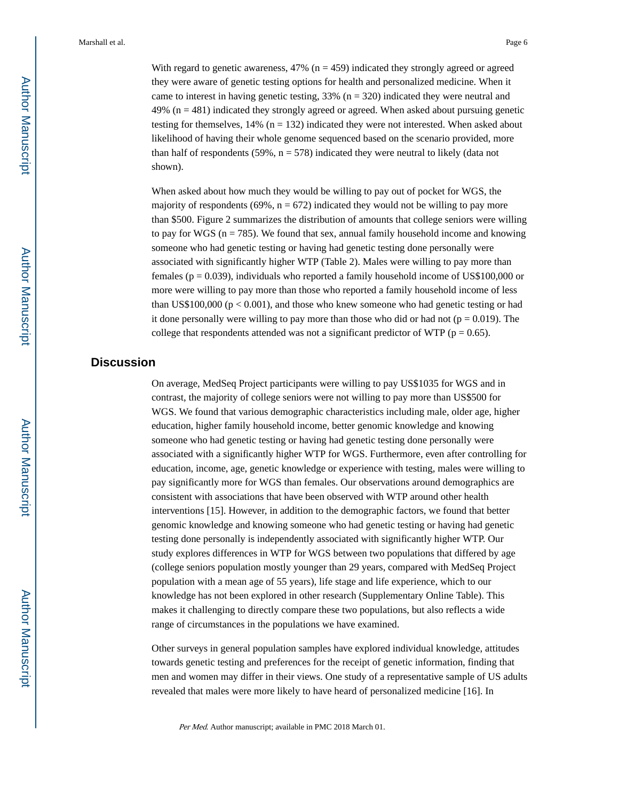With regard to genetic awareness,  $47\%$  (n = 459) indicated they strongly agreed or agreed they were aware of genetic testing options for health and personalized medicine. When it came to interest in having genetic testing,  $33\%$  (n = 320) indicated they were neutral and 49% ( $n = 481$ ) indicated they strongly agreed or agreed. When asked about pursuing genetic testing for themselves,  $14\%$  (n = 132) indicated they were not interested. When asked about likelihood of having their whole genome sequenced based on the scenario provided, more than half of respondents (59%,  $n = 578$ ) indicated they were neutral to likely (data not shown).

When asked about how much they would be willing to pay out of pocket for WGS, the majority of respondents (69%,  $n = 672$ ) indicated they would not be willing to pay more than \$500. Figure 2 summarizes the distribution of amounts that college seniors were willing to pay for WGS ( $n = 785$ ). We found that sex, annual family household income and knowing someone who had genetic testing or having had genetic testing done personally were associated with significantly higher WTP (Table 2). Males were willing to pay more than females ( $p = 0.039$ ), individuals who reported a family household income of US\$100,000 or more were willing to pay more than those who reported a family household income of less than US\$100,000 ( $p < 0.001$ ), and those who knew someone who had genetic testing or had it done personally were willing to pay more than those who did or had not  $(p = 0.019)$ . The college that respondents attended was not a significant predictor of WTP ( $p = 0.65$ ).

# **Discussion**

On average, MedSeq Project participants were willing to pay US\$1035 for WGS and in contrast, the majority of college seniors were not willing to pay more than US\$500 for WGS. We found that various demographic characteristics including male, older age, higher education, higher family household income, better genomic knowledge and knowing someone who had genetic testing or having had genetic testing done personally were associated with a significantly higher WTP for WGS. Furthermore, even after controlling for education, income, age, genetic knowledge or experience with testing, males were willing to pay significantly more for WGS than females. Our observations around demographics are consistent with associations that have been observed with WTP around other health interventions [15]. However, in addition to the demographic factors, we found that better genomic knowledge and knowing someone who had genetic testing or having had genetic testing done personally is independently associated with significantly higher WTP. Our study explores differences in WTP for WGS between two populations that differed by age (college seniors population mostly younger than 29 years, compared with MedSeq Project population with a mean age of 55 years), life stage and life experience, which to our knowledge has not been explored in other research (Supplementary Online Table). This makes it challenging to directly compare these two populations, but also reflects a wide range of circumstances in the populations we have examined.

Other surveys in general population samples have explored individual knowledge, attitudes towards genetic testing and preferences for the receipt of genetic information, finding that men and women may differ in their views. One study of a representative sample of US adults revealed that males were more likely to have heard of personalized medicine [16]. In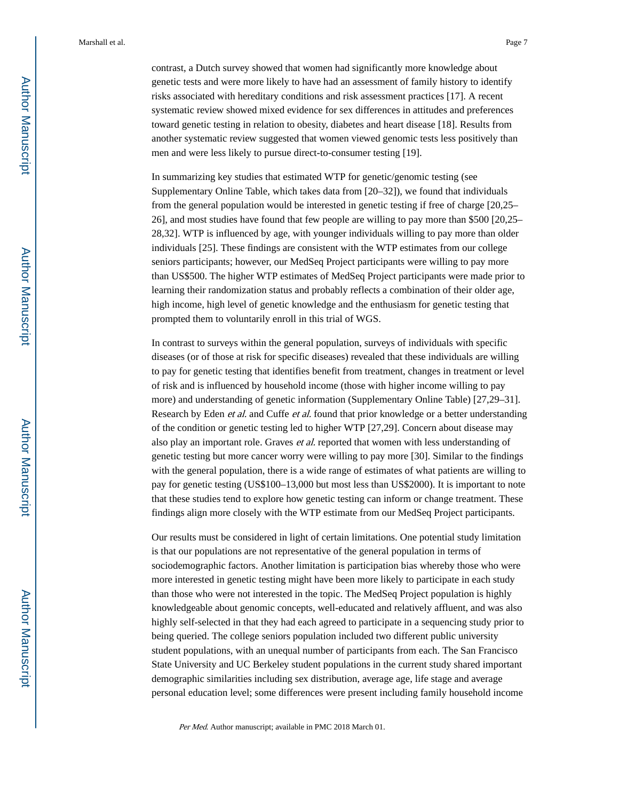contrast, a Dutch survey showed that women had significantly more knowledge about genetic tests and were more likely to have had an assessment of family history to identify risks associated with hereditary conditions and risk assessment practices [17]. A recent systematic review showed mixed evidence for sex differences in attitudes and preferences toward genetic testing in relation to obesity, diabetes and heart disease [18]. Results from another systematic review suggested that women viewed genomic tests less positively than men and were less likely to pursue direct-to-consumer testing [19].

In summarizing key studies that estimated WTP for genetic/genomic testing (see Supplementary Online Table, which takes data from [20–32]), we found that individuals from the general population would be interested in genetic testing if free of charge [20,25– 26], and most studies have found that few people are willing to pay more than \$500 [20,25– 28,32]. WTP is influenced by age, with younger individuals willing to pay more than older individuals [25]. These findings are consistent with the WTP estimates from our college seniors participants; however, our MedSeq Project participants were willing to pay more than US\$500. The higher WTP estimates of MedSeq Project participants were made prior to learning their randomization status and probably reflects a combination of their older age, high income, high level of genetic knowledge and the enthusiasm for genetic testing that prompted them to voluntarily enroll in this trial of WGS.

In contrast to surveys within the general population, surveys of individuals with specific diseases (or of those at risk for specific diseases) revealed that these individuals are willing to pay for genetic testing that identifies benefit from treatment, changes in treatment or level of risk and is influenced by household income (those with higher income willing to pay more) and understanding of genetic information (Supplementary Online Table) [27,29–31]. Research by Eden *et al.* and Cuffe *et al.* found that prior knowledge or a better understanding of the condition or genetic testing led to higher WTP [27,29]. Concern about disease may also play an important role. Graves et al. reported that women with less understanding of genetic testing but more cancer worry were willing to pay more [30]. Similar to the findings with the general population, there is a wide range of estimates of what patients are willing to pay for genetic testing (US\$100–13,000 but most less than US\$2000). It is important to note that these studies tend to explore how genetic testing can inform or change treatment. These findings align more closely with the WTP estimate from our MedSeq Project participants.

Our results must be considered in light of certain limitations. One potential study limitation is that our populations are not representative of the general population in terms of sociodemographic factors. Another limitation is participation bias whereby those who were more interested in genetic testing might have been more likely to participate in each study than those who were not interested in the topic. The MedSeq Project population is highly knowledgeable about genomic concepts, well-educated and relatively affluent, and was also highly self-selected in that they had each agreed to participate in a sequencing study prior to being queried. The college seniors population included two different public university student populations, with an unequal number of participants from each. The San Francisco State University and UC Berkeley student populations in the current study shared important demographic similarities including sex distribution, average age, life stage and average personal education level; some differences were present including family household income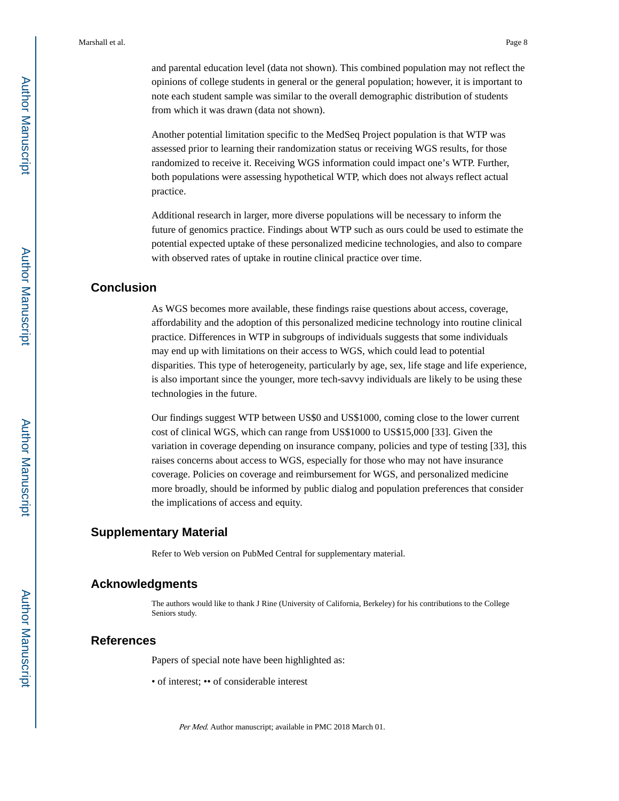and parental education level (data not shown). This combined population may not reflect the opinions of college students in general or the general population; however, it is important to note each student sample was similar to the overall demographic distribution of students from which it was drawn (data not shown).

Another potential limitation specific to the MedSeq Project population is that WTP was assessed prior to learning their randomization status or receiving WGS results, for those randomized to receive it. Receiving WGS information could impact one's WTP. Further, both populations were assessing hypothetical WTP, which does not always reflect actual practice.

Additional research in larger, more diverse populations will be necessary to inform the future of genomics practice. Findings about WTP such as ours could be used to estimate the potential expected uptake of these personalized medicine technologies, and also to compare with observed rates of uptake in routine clinical practice over time.

# **Conclusion**

As WGS becomes more available, these findings raise questions about access, coverage, affordability and the adoption of this personalized medicine technology into routine clinical practice. Differences in WTP in subgroups of individuals suggests that some individuals may end up with limitations on their access to WGS, which could lead to potential disparities. This type of heterogeneity, particularly by age, sex, life stage and life experience, is also important since the younger, more tech-savvy individuals are likely to be using these technologies in the future.

Our findings suggest WTP between US\$0 and US\$1000, coming close to the lower current cost of clinical WGS, which can range from US\$1000 to US\$15,000 [33]. Given the variation in coverage depending on insurance company, policies and type of testing [33], this raises concerns about access to WGS, especially for those who may not have insurance coverage. Policies on coverage and reimbursement for WGS, and personalized medicine more broadly, should be informed by public dialog and population preferences that consider the implications of access and equity.

## **Supplementary Material**

Refer to Web version on PubMed Central for supplementary material.

# **Acknowledgments**

The authors would like to thank J Rine (University of California, Berkeley) for his contributions to the College Seniors study.

# **References**

Papers of special note have been highlighted as:

• of interest; •• of considerable interest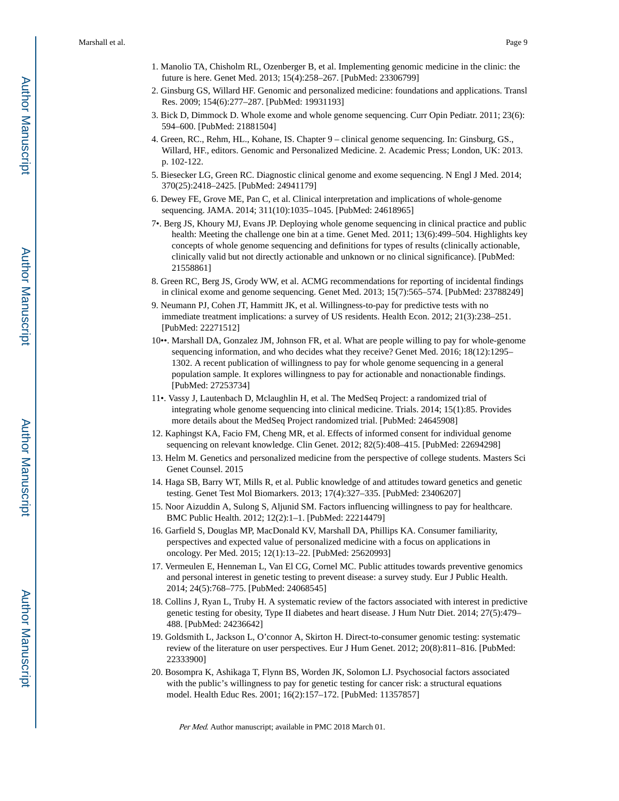- 1. Manolio TA, Chisholm RL, Ozenberger B, et al. Implementing genomic medicine in the clinic: the future is here. Genet Med. 2013; 15(4):258–267. [PubMed: 23306799]
- 2. Ginsburg GS, Willard HF. Genomic and personalized medicine: foundations and applications. Transl Res. 2009; 154(6):277–287. [PubMed: 19931193]
- 3. Bick D, Dimmock D. Whole exome and whole genome sequencing. Curr Opin Pediatr. 2011; 23(6): 594–600. [PubMed: 21881504]
- 4. Green, RC., Rehm, HL., Kohane, IS. Chapter 9 clinical genome sequencing. In: Ginsburg, GS., Willard, HF., editors. Genomic and Personalized Medicine. 2. Academic Press; London, UK: 2013. p. 102-122.
- 5. Biesecker LG, Green RC. Diagnostic clinical genome and exome sequencing. N Engl J Med. 2014; 370(25):2418–2425. [PubMed: 24941179]
- 6. Dewey FE, Grove ME, Pan C, et al. Clinical interpretation and implications of whole-genome sequencing. JAMA. 2014; 311(10):1035–1045. [PubMed: 24618965]
- 7•. Berg JS, Khoury MJ, Evans JP. Deploying whole genome sequencing in clinical practice and public health: Meeting the challenge one bin at a time. Genet Med. 2011; 13(6):499–504. Highlights key concepts of whole genome sequencing and definitions for types of results (clinically actionable, clinically valid but not directly actionable and unknown or no clinical significance). [PubMed: 21558861]
- 8. Green RC, Berg JS, Grody WW, et al. ACMG recommendations for reporting of incidental findings in clinical exome and genome sequencing. Genet Med. 2013; 15(7):565–574. [PubMed: 23788249]
- 9. Neumann PJ, Cohen JT, Hammitt JK, et al. Willingness-to-pay for predictive tests with no immediate treatment implications: a survey of US residents. Health Econ. 2012; 21(3):238–251. [PubMed: 22271512]
- 10••. Marshall DA, Gonzalez JM, Johnson FR, et al. What are people willing to pay for whole-genome sequencing information, and who decides what they receive? Genet Med. 2016; 18(12):1295– 1302. A recent publication of willingness to pay for whole genome sequencing in a general population sample. It explores willingness to pay for actionable and nonactionable findings. [PubMed: 27253734]
- 11•. Vassy J, Lautenbach D, Mclaughlin H, et al. The MedSeq Project: a randomized trial of integrating whole genome sequencing into clinical medicine. Trials. 2014; 15(1):85. Provides more details about the MedSeq Project randomized trial. [PubMed: 24645908]
- 12. Kaphingst KA, Facio FM, Cheng MR, et al. Effects of informed consent for individual genome sequencing on relevant knowledge. Clin Genet. 2012; 82(5):408–415. [PubMed: 22694298]
- 13. Helm M. Genetics and personalized medicine from the perspective of college students. Masters Sci Genet Counsel. 2015
- 14. Haga SB, Barry WT, Mills R, et al. Public knowledge of and attitudes toward genetics and genetic testing. Genet Test Mol Biomarkers. 2013; 17(4):327–335. [PubMed: 23406207]
- 15. Noor Aizuddin A, Sulong S, Aljunid SM. Factors influencing willingness to pay for healthcare. BMC Public Health. 2012; 12(2):1–1. [PubMed: 22214479]
- 16. Garfield S, Douglas MP, MacDonald KV, Marshall DA, Phillips KA. Consumer familiarity, perspectives and expected value of personalized medicine with a focus on applications in oncology. Per Med. 2015; 12(1):13–22. [PubMed: 25620993]
- 17. Vermeulen E, Henneman L, Van El CG, Cornel MC. Public attitudes towards preventive genomics and personal interest in genetic testing to prevent disease: a survey study. Eur J Public Health. 2014; 24(5):768–775. [PubMed: 24068545]
- 18. Collins J, Ryan L, Truby H. A systematic review of the factors associated with interest in predictive genetic testing for obesity, Type II diabetes and heart disease. J Hum Nutr Diet. 2014; 27(5):479– 488. [PubMed: 24236642]
- 19. Goldsmith L, Jackson L, O'connor A, Skirton H. Direct-to-consumer genomic testing: systematic review of the literature on user perspectives. Eur J Hum Genet. 2012; 20(8):811–816. [PubMed: 22333900]
- 20. Bosompra K, Ashikaga T, Flynn BS, Worden JK, Solomon LJ. Psychosocial factors associated with the public's willingness to pay for genetic testing for cancer risk: a structural equations model. Health Educ Res. 2001; 16(2):157–172. [PubMed: 11357857]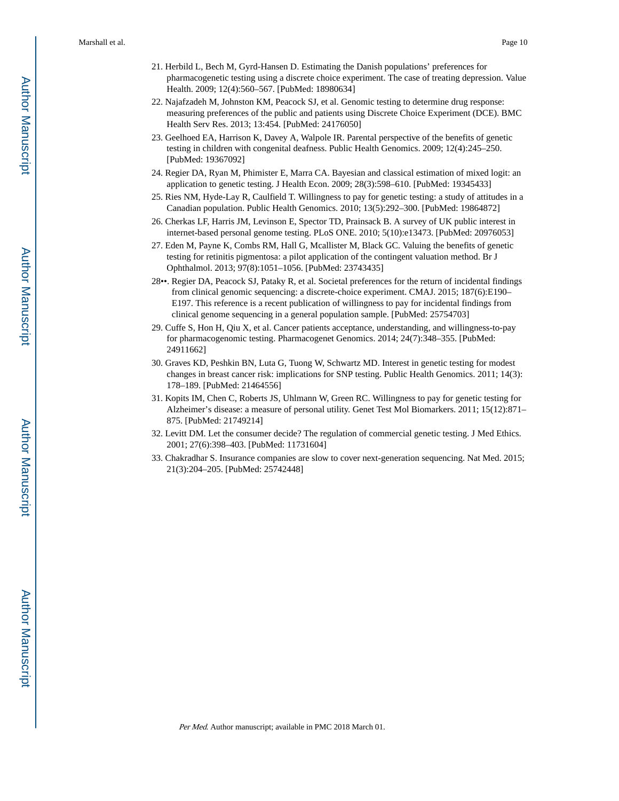- 21. Herbild L, Bech M, Gyrd-Hansen D. Estimating the Danish populations' preferences for pharmacogenetic testing using a discrete choice experiment. The case of treating depression. Value Health. 2009; 12(4):560–567. [PubMed: 18980634]
- 22. Najafzadeh M, Johnston KM, Peacock SJ, et al. Genomic testing to determine drug response: measuring preferences of the public and patients using Discrete Choice Experiment (DCE). BMC Health Serv Res. 2013; 13:454. [PubMed: 24176050]
- 23. Geelhoed EA, Harrison K, Davey A, Walpole IR. Parental perspective of the benefits of genetic testing in children with congenital deafness. Public Health Genomics. 2009; 12(4):245–250. [PubMed: 19367092]
- 24. Regier DA, Ryan M, Phimister E, Marra CA. Bayesian and classical estimation of mixed logit: an application to genetic testing. J Health Econ. 2009; 28(3):598–610. [PubMed: 19345433]
- 25. Ries NM, Hyde-Lay R, Caulfield T. Willingness to pay for genetic testing: a study of attitudes in a Canadian population. Public Health Genomics. 2010; 13(5):292–300. [PubMed: 19864872]
- 26. Cherkas LF, Harris JM, Levinson E, Spector TD, Prainsack B. A survey of UK public interest in internet-based personal genome testing. PLoS ONE. 2010; 5(10):e13473. [PubMed: 20976053]
- 27. Eden M, Payne K, Combs RM, Hall G, Mcallister M, Black GC. Valuing the benefits of genetic testing for retinitis pigmentosa: a pilot application of the contingent valuation method. Br J Ophthalmol. 2013; 97(8):1051–1056. [PubMed: 23743435]
- 28••. Regier DA, Peacock SJ, Pataky R, et al. Societal preferences for the return of incidental findings from clinical genomic sequencing: a discrete-choice experiment. CMAJ. 2015; 187(6):E190– E197. This reference is a recent publication of willingness to pay for incidental findings from clinical genome sequencing in a general population sample. [PubMed: 25754703]
- 29. Cuffe S, Hon H, Qiu X, et al. Cancer patients acceptance, understanding, and willingness-to-pay for pharmacogenomic testing. Pharmacogenet Genomics. 2014; 24(7):348–355. [PubMed: 24911662]
- 30. Graves KD, Peshkin BN, Luta G, Tuong W, Schwartz MD. Interest in genetic testing for modest changes in breast cancer risk: implications for SNP testing. Public Health Genomics. 2011; 14(3): 178–189. [PubMed: 21464556]
- 31. Kopits IM, Chen C, Roberts JS, Uhlmann W, Green RC. Willingness to pay for genetic testing for Alzheimer's disease: a measure of personal utility. Genet Test Mol Biomarkers. 2011; 15(12):871– 875. [PubMed: 21749214]
- 32. Levitt DM. Let the consumer decide? The regulation of commercial genetic testing. J Med Ethics. 2001; 27(6):398–403. [PubMed: 11731604]
- 33. Chakradhar S. Insurance companies are slow to cover next-generation sequencing. Nat Med. 2015; 21(3):204–205. [PubMed: 25742448]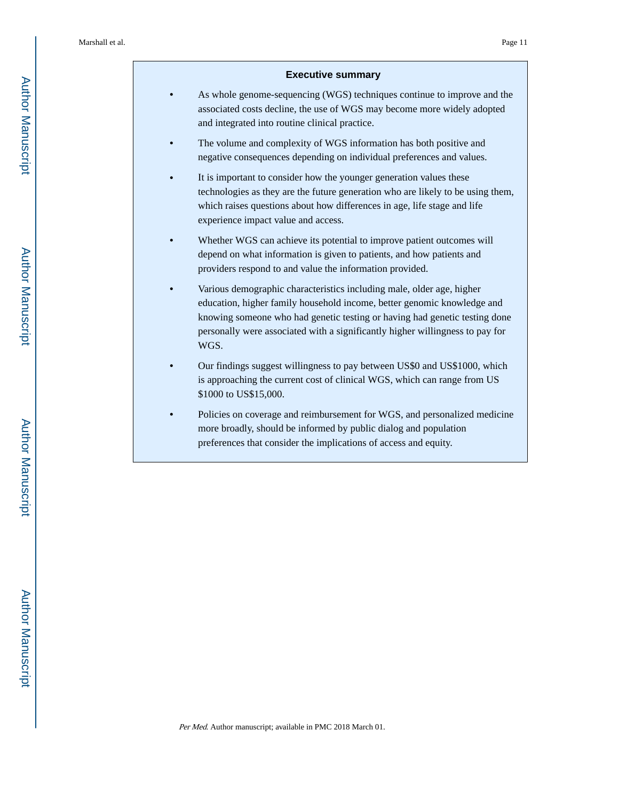#### **Executive summary**

- **•** As whole genome-sequencing (WGS) techniques continue to improve and the associated costs decline, the use of WGS may become more widely adopted and integrated into routine clinical practice.
- **•** The volume and complexity of WGS information has both positive and negative consequences depending on individual preferences and values.
- **•** It is important to consider how the younger generation values these technologies as they are the future generation who are likely to be using them, which raises questions about how differences in age, life stage and life experience impact value and access.
- **•** Whether WGS can achieve its potential to improve patient outcomes will depend on what information is given to patients, and how patients and providers respond to and value the information provided.
- **•** Various demographic characteristics including male, older age, higher education, higher family household income, better genomic knowledge and knowing someone who had genetic testing or having had genetic testing done personally were associated with a significantly higher willingness to pay for WGS.
- **•** Our findings suggest willingness to pay between US\$0 and US\$1000, which is approaching the current cost of clinical WGS, which can range from US \$1000 to US\$15,000.
- **•** Policies on coverage and reimbursement for WGS, and personalized medicine more broadly, should be informed by public dialog and population preferences that consider the implications of access and equity.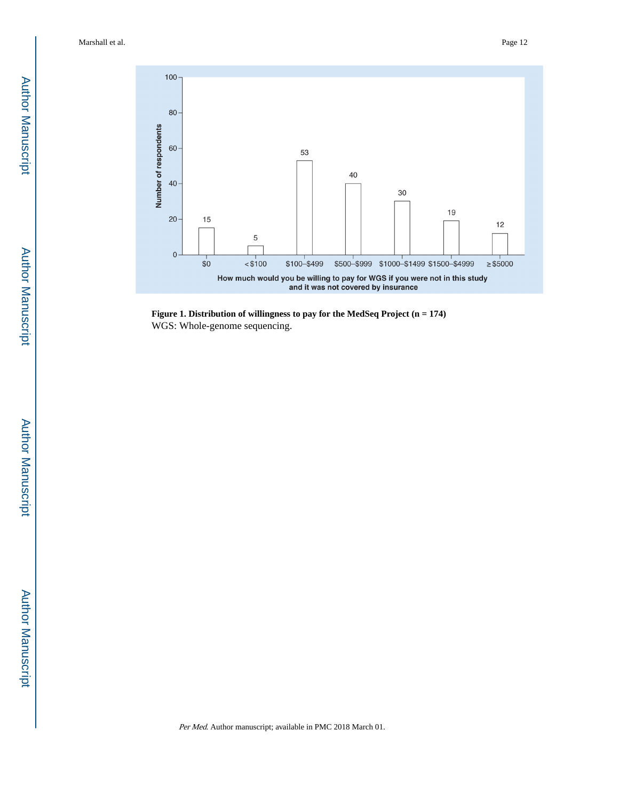

**Figure 1. Distribution of willingness to pay for the MedSeq Project (n = 174)** WGS: Whole-genome sequencing.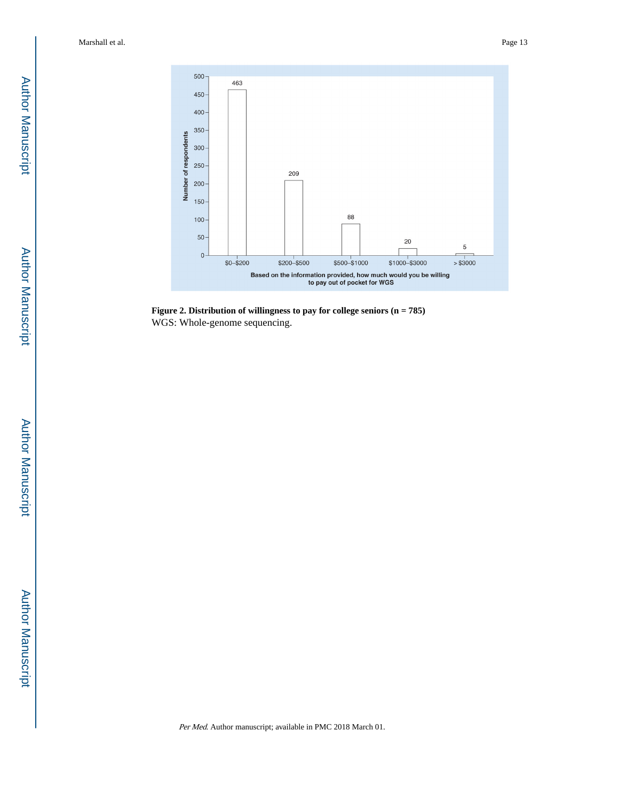

**Figure 2. Distribution of willingness to pay for college seniors (n = 785)** WGS: Whole-genome sequencing.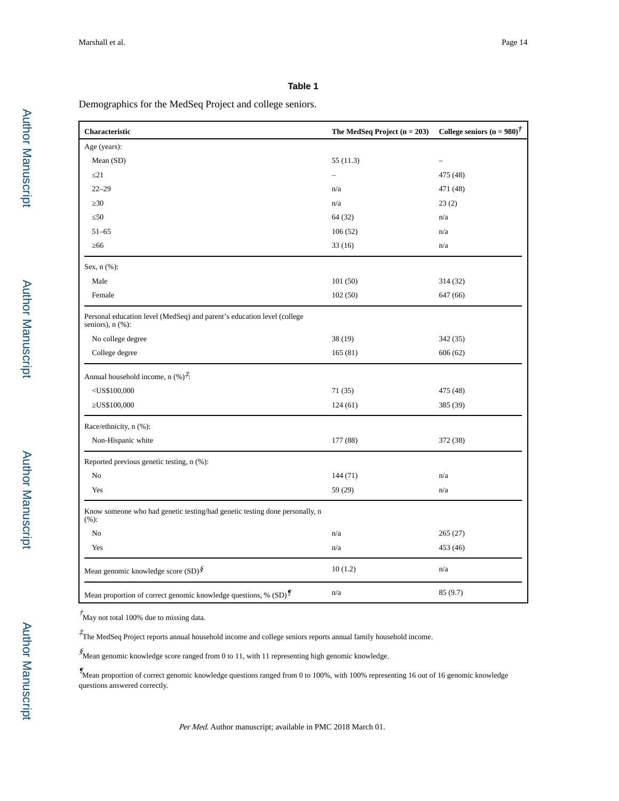#### **Table 1**

Demographics for the MedSeq Project and college seniors.

| Characteristic                                                                                    | The MedSeq Project $(n = 203)$ | College seniors (n = $980$ ) <sup>†</sup> |
|---------------------------------------------------------------------------------------------------|--------------------------------|-------------------------------------------|
| Age (years):                                                                                      |                                |                                           |
| Mean (SD)                                                                                         | 55(11.3)                       |                                           |
| 21                                                                                                |                                | 475 (48)                                  |
| $22 - 29$                                                                                         | n/a                            | 471 (48)                                  |
| 30                                                                                                | n/a                            | 23(2)                                     |
| 50                                                                                                | 64 (32)                        | n/a                                       |
| $51 - 65$                                                                                         | 106(52)                        | n/a                                       |
| 66                                                                                                | 33(16)                         | n/a                                       |
| Sex, $n$ $(\%)$ :                                                                                 |                                |                                           |
| Male                                                                                              | 101(50)                        | 314 (32)                                  |
| Female                                                                                            | 102(50)                        | 647 (66)                                  |
| Personal education level (MedSeq) and parent's education level (college<br>seniors), $n$ $(\%)$ : |                                |                                           |
| No college degree                                                                                 | 38 (19)                        | 342 (35)                                  |
| College degree                                                                                    | 165(81)                        | 606(62)                                   |
| Annual household income, n $(\%)^{\dot{\uparrow}}$ :                                              |                                |                                           |
| $<$ US\$100,000                                                                                   | 71 (35)                        | 475 (48)                                  |
| US\$100,000                                                                                       | 124(61)                        | 385 (39)                                  |
| Race/ethnicity, n (%):                                                                            |                                |                                           |
| Non-Hispanic white                                                                                | 177 (88)                       | 372 (38)                                  |
| Reported previous genetic testing, n (%):                                                         |                                |                                           |
| No                                                                                                | 144 (71)                       | n/a                                       |
| Yes                                                                                               | 59 (29)                        | n/a                                       |
| Know someone who had genetic testing/had genetic testing done personally, n<br>(%):               |                                |                                           |
| No                                                                                                | n/a                            | 265(27)                                   |
| Yes                                                                                               | n/a                            | 453 (46)                                  |
| Mean genomic knowledge score $(SD)$ <sup>§</sup>                                                  | 10(1.2)                        | n/a                                       |
| Mean proportion of correct genomic knowledge questions, % $(SD)^{\n}$                             | n/a                            | 85 (9.7)                                  |

 $\sqrt{\frac{2}{M}}$  May not total 100% due to missing data.

‡ The MedSeq Project reports annual household income and college seniors reports annual family household income.

 $\mathcal{S}_{\rm \bf Mean}$  genomic knowledge score ranged from 0 to 11, with 11 representing high genomic knowledge.

 $\%$  Mean proportion of correct genomic knowledge questions ranged from 0 to 100%, with 100% representing 16 out of 16 genomic knowledge questions answered correctly.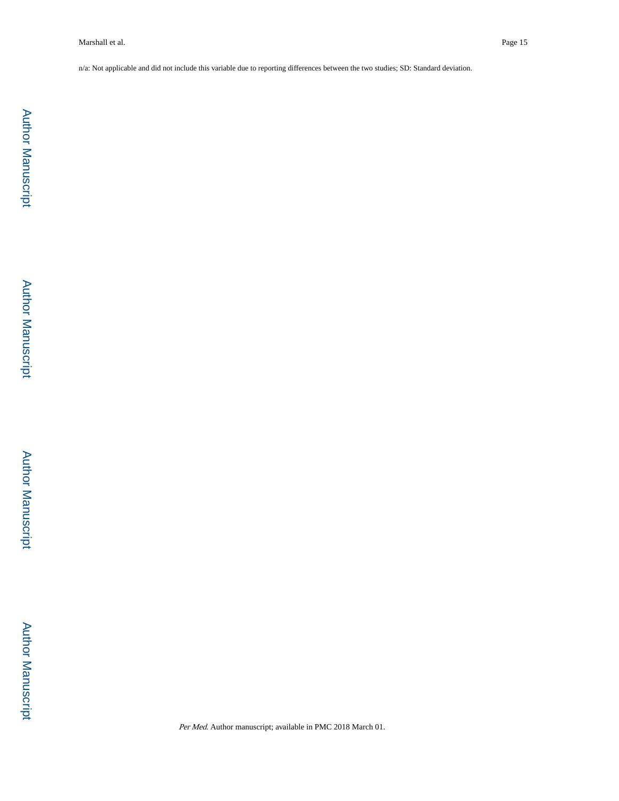n/a: Not applicable and did not include this variable due to reporting differences between the two studies; SD: Standard deviation.